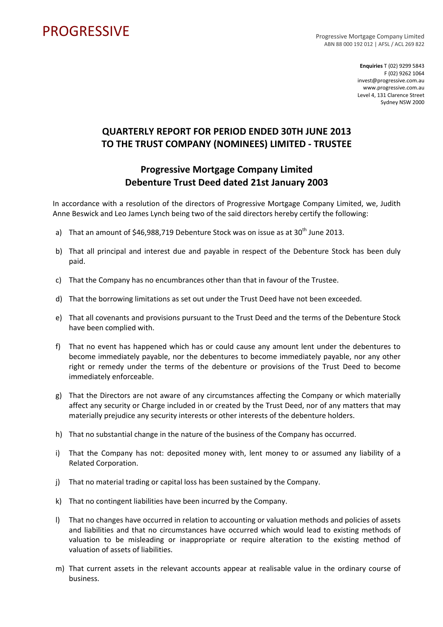## PROGRESSIVE PROGRESSIVE

ABN 88 000 192 012 | AFSL / ACL 269 822

**Enquiries** T (02) 9299 5843 F (02) 9262 1064 invest@progressive.com.au www.progressive.com.au Level 4, 131 Clarence Street Sydney NSW 2000

## **QUARTERLY REPORT FOR PERIOD ENDED 30TH JUNE 2013 TO THE TRUST COMPANY (NOMINEES) LIMITED ‐ TRUSTEE**

## **Progressive Mortgage Company Limited Debenture Trust Deed dated 21st January 2003**

In accordance with a resolution of the directors of Progressive Mortgage Company Limited, we, Judith Anne Beswick and Leo James Lynch being two of the said directors hereby certify the following:

- a) That an amount of  $$46,988,719$  Debenture Stock was on issue as at  $30<sup>th</sup>$  June 2013.
- b) That all principal and interest due and payable in respect of the Debenture Stock has been duly paid.
- c) That the Company has no encumbrances other than that in favour of the Trustee.
- d) That the borrowing limitations as set out under the Trust Deed have not been exceeded.
- e) That all covenants and provisions pursuant to the Trust Deed and the terms of the Debenture Stock have been complied with.
- f) That no event has happened which has or could cause any amount lent under the debentures to become immediately payable, nor the debentures to become immediately payable, nor any other right or remedy under the terms of the debenture or provisions of the Trust Deed to become immediately enforceable.
- g) That the Directors are not aware of any circumstances affecting the Company or which materially affect any security or Charge included in or created by the Trust Deed, nor of any matters that may materially prejudice any security interests or other interests of the debenture holders.
- h) That no substantial change in the nature of the business of the Company has occurred.
- i) That the Company has not: deposited money with, lent money to or assumed any liability of a Related Corporation.
- j) That no material trading or capital loss has been sustained by the Company.
- k) That no contingent liabilities have been incurred by the Company.
- l) That no changes have occurred in relation to accounting or valuation methods and policies of assets and liabilities and that no circumstances have occurred which would lead to existing methods of valuation to be misleading or inappropriate or require alteration to the existing method of valuation of assets of liabilities.
- m) That current assets in the relevant accounts appear at realisable value in the ordinary course of business.